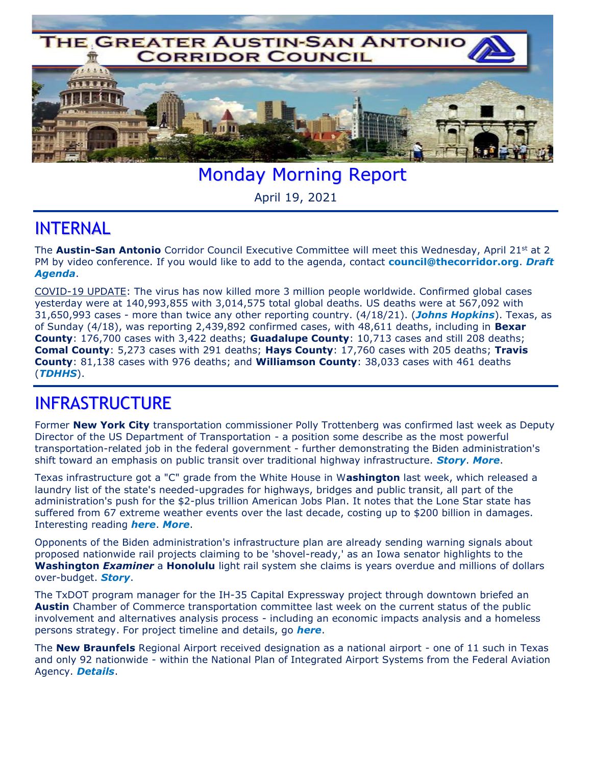

Monday Morning Report

April 19, 2021

## INTERNAL

The **Austin-San Antonio** Corridor Council Executive Committee will meet this Wednesday, April 21<sup>st</sup> at 2 PM by video conference. If you would like to add to the agenda, contact **[council@thecorridor.org](mailto:council@thecorridor.org)**. *[Draft](http://thecorridor.org/downloads/media/04.21.21_EC_Meeting_Agenda_REM_DRAFT.pdf)  [Agenda](http://thecorridor.org/downloads/media/04.21.21_EC_Meeting_Agenda_REM_DRAFT.pdf)*.

COVID-19 UPDATE: The virus has now killed more 3 million people worldwide. Confirmed global cases yesterday were at 140,993,855 with 3,014,575 total global deaths. US deaths were at 567,092 with 31,650,993 cases - more than twice any other reporting country. (4/18/21). (*[Johns Hopkins](https://www.arcgis.com/apps/opsdashboard/index.html#/bda7594740fd40299423467b48e9ecf6)*). Texas, as of Sunday (4/18), was reporting 2,439,892 confirmed cases, with 48,611 deaths, including in **Bexar County**: 176,700 cases with 3,422 deaths; **Guadalupe County**: 10,713 cases and still 208 deaths; **Comal County**: 5,273 cases with 291 deaths; **Hays County**: 17,760 cases with 205 deaths; **Travis County**: 81,138 cases with 976 deaths; and **Williamson County**: 38,033 cases with 461 deaths (*[TDHHS](https://txdshs.maps.arcgis.com/apps/opsdashboard/index.html#/ed483ecd702b4298ab01e8b9cafc8b83)*).

## INFRASTRUCTURE

Former **New York City** transportation commissioner Polly Trottenberg was confirmed last week as Deputy Director of the US Department of Transportation - a position some describe as the most powerful transportation-related job in the federal government - further demonstrating the Biden administration's shift toward an emphasis on public transit over traditional highway infrastructure. *[Story](https://www.washingtonpost.com/transportation/2021/04/13/polly-trottenberg-transportation/)*. *[More](https://www.progressiverailroading.com/people/news/Trottenberg-confirmed-as-deputy-transportation-secretary--63219?fbclid=IwAR3ZZfyrLC2APgTp7czDN0jloZA1J9nyr-lWVtWUDpoAPCzY5de1r6Vwbpo)*.

Texas infrastructure got a "C" grade from the White House in W**ashington** last week, which released a laundry list of the state's needed-upgrades for highways, bridges and public transit, all part of the administration's push for the \$2-plus trillion American Jobs Plan. It notes that the Lone Star state has suffered from 67 extreme weather events over the last decade, costing up to \$200 billion in damages. Interesting reading *[here](https://www.whitehouse.gov/wp-content/uploads/2021/04/AJP-State-Fact-Sheet-TX.pdf)*. *[More](https://www.statesman.com/story/news/2021/04/13/biden-awards-c-texas-infrastructure-pitch-2-trillion-plan/7188482002/)*.

Opponents of the Biden administration's infrastructure plan are already sending warning signals about proposed nationwide rail projects claiming to be 'shovel-ready,' as an Iowa senator highlights to the **Washington** *Examiner* a **Honolulu** light rail system she claims is years overdue and millions of dollars over-budget. *[Story](https://www.washingtonexaminer.com/washington-secrets/hawaiian-1-billion-a-mile-rail-boondoggle-a-warning-to-biden-build-back-plan)*.

The TxDOT program manager for the IH-35 Capital Expressway project through downtown briefed an **Austin** Chamber of Commerce transportation committee last week on the current status of the public involvement and alternatives analysis process - including an economic impacts analysis and a homeless persons strategy. For project timeline and details, go *[here](http://thecorridor.org/downloads/media/M35_CapEx-C_0015-13-388_AustinChamber_2021_04_07_-RedSize.pdf)*.

The **New Braunfels** Regional Airport received designation as a national airport - one of 11 such in Texas and only 92 nationwide - within the National Plan of Integrated Airport Systems from the Federal Aviation Agency. *[Details](http://herald-zeitung.com/community_alert/article_8b4dd8ea-9d7e-11eb-8bea-8f03a63a295e.html)*.